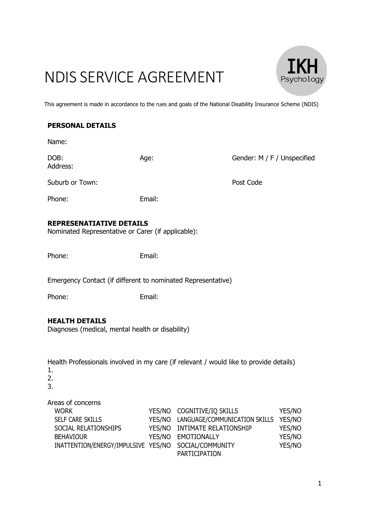# NDIS SERVICE AGREEMENT



This agreement is made in accordance to the rues and goals of the National Disability Insurance Scheme (NDIS)

#### PERSONAL DETAILS

Name:

| DOB:<br>Address:                                                                      | Age:   | Gender: M / F / Unspecified |
|---------------------------------------------------------------------------------------|--------|-----------------------------|
| Suburb or Town:                                                                       |        | Post Code                   |
| Phone:                                                                                | Email: |                             |
| <b>REPRESENATIATIVE DETAILS</b><br>Nominatod Donrocontativo or Caror (if annlicable): |        |                             |

Nominated Representative or Carer (if applicable):

Phone: Email:

Emergency Contact (if different to nominated Representative)

Phone: Email:

#### HEALTH DETAILS

Diagnoses (medical, mental health or disability)

Health Professionals involved in my care (if relevant / would like to provide details) 1. 2. 3.

|             | Areas of concerns                   |               |                               |               |
|-------------|-------------------------------------|---------------|-------------------------------|---------------|
| <b>WORK</b> |                                     | YES/NO        | COGNITIVE/IQ SKILLS           | <b>YES/NO</b> |
|             | SELF CARE SKILLS                    | YES/NO        | LANGUAGE/COMMUNICATION SKILLS | YES/NO        |
|             | SOCIAL RELATIONSHIPS                | <b>YES/NO</b> | INTIMATE RELATIONSHIP         | YES/NO        |
|             | <b>BEHAVIOUR</b>                    | YES/NO        | EMOTIONALLY                   | YES/NO        |
|             | INATTENTION/ENERGY/IMPULSIVE YES/NO |               | SOCIAL/COMMUNITY              | YES/NO        |
|             |                                     |               | PARTICIPATION                 |               |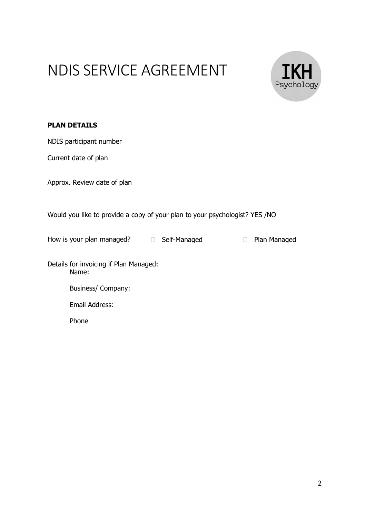# NDIS SERVICE AGREEMENT



#### PLAN DETAILS

NDIS participant number Current date of plan Approx. Review date of plan Would you like to provide a copy of your plan to your psychologist? YES /NO How is your plan managed? Bush Self-Managed **Example 20 Self-Managed** Details for invoicing if Plan Managed: Name: Business/ Company: Email Address: Phone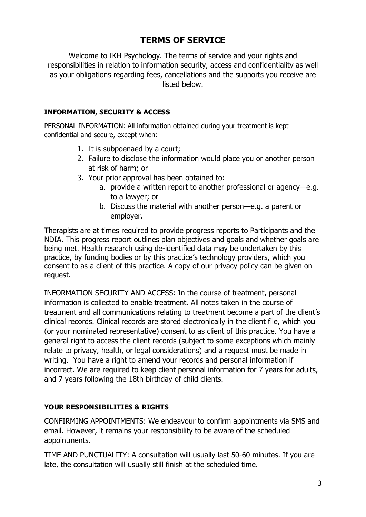# TERMS OF SERVICE

Welcome to IKH Psychology. The terms of service and your rights and responsibilities in relation to information security, access and confidentiality as well as your obligations regarding fees, cancellations and the supports you receive are listed below.

### INFORMATION, SECURITY & ACCESS

PERSONAL INFORMATION: All information obtained during your treatment is kept confidential and secure, except when:

- 1. It is subpoenaed by a court;
- 2. Failure to disclose the information would place you or another person at risk of harm; or
- 3. Your prior approval has been obtained to:
	- a. provide a written report to another professional or agency—e.g. to a lawyer; or
	- b. Discuss the material with another person—e.g. a parent or employer.

Therapists are at times required to provide progress reports to Participants and the NDIA. This progress report outlines plan objectives and goals and whether goals are being met. Health research using de-identified data may be undertaken by this practice, by funding bodies or by this practice's technology providers, which you consent to as a client of this practice. A copy of our privacy policy can be given on request.

INFORMATION SECURITY AND ACCESS: In the course of treatment, personal information is collected to enable treatment. All notes taken in the course of treatment and all communications relating to treatment become a part of the client's clinical records. Clinical records are stored electronically in the client file, which you (or your nominated representative) consent to as client of this practice. You have a general right to access the client records (subject to some exceptions which mainly relate to privacy, health, or legal considerations) and a request must be made in writing. You have a right to amend your records and personal information if incorrect. We are required to keep client personal information for 7 years for adults, and 7 years following the 18th birthday of child clients.

# YOUR RESPONSIBILITIES & RIGHTS

CONFIRMING APPOINTMENTS: We endeavour to confirm appointments via SMS and email. However, it remains your responsibility to be aware of the scheduled appointments.

TIME AND PUNCTUALITY: A consultation will usually last 50-60 minutes. If you are late, the consultation will usually still finish at the scheduled time.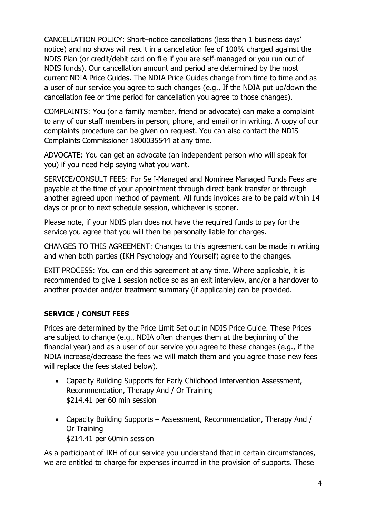CANCELLATION POLICY: Short–notice cancellations (less than 1 business days' notice) and no shows will result in a cancellation fee of 100% charged against the NDIS Plan (or credit/debit card on file if you are self-managed or you run out of NDIS funds). Our cancellation amount and period are determined by the most current NDIA Price Guides. The NDIA Price Guides change from time to time and as a user of our service you agree to such changes (e.g., If the NDIA put up/down the cancellation fee or time period for cancellation you agree to those changes).

COMPLAINTS: You (or a family member, friend or advocate) can make a complaint to any of our staff members in person, phone, and email or in writing. A copy of our complaints procedure can be given on request. You can also contact the NDIS Complaints Commissioner 1800035544 at any time.

ADVOCATE: You can get an advocate (an independent person who will speak for you) if you need help saying what you want.

SERVICE/CONSULT FEES: For Self-Managed and Nominee Managed Funds Fees are payable at the time of your appointment through direct bank transfer or through another agreed upon method of payment. All funds invoices are to be paid within 14 days or prior to next schedule session, whichever is sooner.

Please note, if your NDIS plan does not have the required funds to pay for the service you agree that you will then be personally liable for charges.

CHANGES TO THIS AGREEMENT: Changes to this agreement can be made in writing and when both parties (IKH Psychology and Yourself) agree to the changes.

EXIT PROCESS: You can end this agreement at any time. Where applicable, it is recommended to give 1 session notice so as an exit interview, and/or a handover to another provider and/or treatment summary (if applicable) can be provided.

# SERVICE / CONSUT FEES

Prices are determined by the Price Limit Set out in NDIS Price Guide. These Prices are subject to change (e.g., NDIA often changes them at the beginning of the financial year) and as a user of our service you agree to these changes (e.g., if the NDIA increase/decrease the fees we will match them and you agree those new fees will replace the fees stated below).

- Capacity Building Supports for Early Childhood Intervention Assessment, Recommendation, Therapy And / Or Training \$214.41 per 60 min session
- Capacity Building Supports Assessment, Recommendation, Therapy And / Or Training \$214.41 per 60min session

As a participant of IKH of our service you understand that in certain circumstances, we are entitled to charge for expenses incurred in the provision of supports. These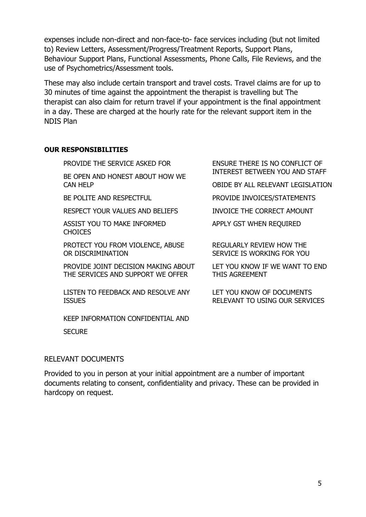expenses include non-direct and non-face-to- face services including (but not limited to) Review Letters, Assessment/Progress/Treatment Reports, Support Plans, Behaviour Support Plans, Functional Assessments, Phone Calls, File Reviews, and the use of Psychometrics/Assessment tools.

These may also include certain transport and travel costs. Travel claims are for up to 30 minutes of time against the appointment the therapist is travelling but The therapist can also claim for return travel if your appointment is the final appointment in a day. These are charged at the hourly rate for the relevant support item in the NDIS Plan

#### OUR RESPONSIBILITIES

PROVIDE THE SERVICE ASKED FOR BE OPEN AND HONEST ABOUT HOW WE CAN HELP

RESPECT YOUR VALUES AND BELIEFS INVOICE THE CORRECT AMOUNT

 ASSIST YOU TO MAKE INFORMED CHOICES

 PROTECT YOU FROM VIOLENCE, ABUSE OR DISCRIMINATION

PROVIDE JOINT DECISION MAKING ABOUT THE SERVICES AND SUPPORT WE OFFER

LISTEN TO FEEDBACK AND RESOLVE ANY ISSUES

 KEEP INFORMATION CONFIDENTIAL AND **SECURE** 

ENSURE THERE IS NO CONFLICT OF INTEREST BETWEEN YOU AND STAFF

OBIDE BY ALL RELEVANT LEGISLATION

BE POLITE AND RESPECTFUL PROVIDE INVOICES/STATEMENTS

APPLY GST WHEN REQUIRED

 REGULARLY REVIEW HOW THE SERVICE IS WORKING FOR YOU

LET YOU KNOW IF WE WANT TO END THIS AGREEMENT

LET YOU KNOW OF DOCUMENTS RELEVANT TO USING OUR SERVICES

#### RELEVANT DOCUMENTS

Provided to you in person at your initial appointment are a number of important documents relating to consent, confidentiality and privacy. These can be provided in hardcopy on request.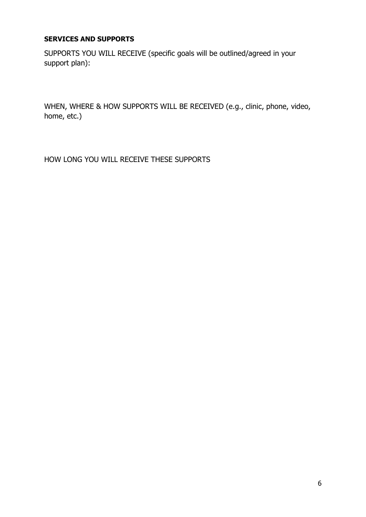# SERVICES AND SUPPORTS

SUPPORTS YOU WILL RECEIVE (specific goals will be outlined/agreed in your support plan):

WHEN, WHERE & HOW SUPPORTS WILL BE RECEIVED (e.g., clinic, phone, video, home, etc.)

HOW LONG YOU WILL RECEIVE THESE SUPPORTS